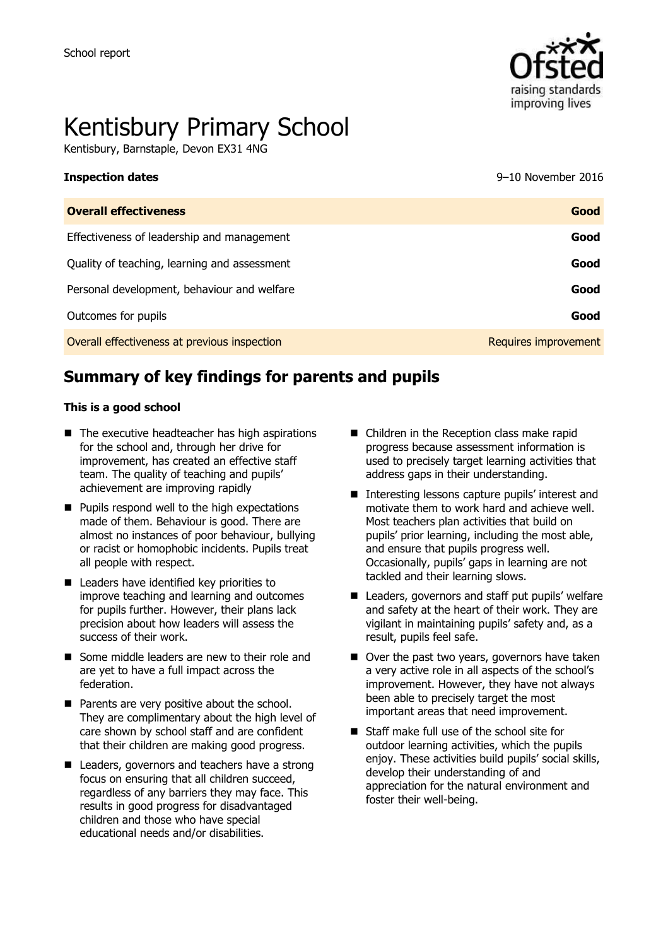

# Kentisbury Primary School

Kentisbury, Barnstaple, Devon EX31 4NG

**Inspection dates** 9–10 November 2016

| <b>Overall effectiveness</b>                 | Good                 |
|----------------------------------------------|----------------------|
| Effectiveness of leadership and management   | Good                 |
| Quality of teaching, learning and assessment | Good                 |
| Personal development, behaviour and welfare  | Good                 |
| Outcomes for pupils                          | Good                 |
| Overall effectiveness at previous inspection | Requires improvement |

# **Summary of key findings for parents and pupils**

#### **This is a good school**

- $\blacksquare$  The executive headteacher has high aspirations for the school and, through her drive for improvement, has created an effective staff team. The quality of teaching and pupils' achievement are improving rapidly
- $\blacksquare$  Pupils respond well to the high expectations made of them. Behaviour is good. There are almost no instances of poor behaviour, bullying or racist or homophobic incidents. Pupils treat all people with respect.
- Leaders have identified key priorities to improve teaching and learning and outcomes for pupils further. However, their plans lack precision about how leaders will assess the success of their work.
- Some middle leaders are new to their role and are yet to have a full impact across the federation.
- Parents are very positive about the school. They are complimentary about the high level of care shown by school staff and are confident that their children are making good progress.
- Leaders, governors and teachers have a strong focus on ensuring that all children succeed, regardless of any barriers they may face. This results in good progress for disadvantaged children and those who have special educational needs and/or disabilities.
- Children in the Reception class make rapid progress because assessment information is used to precisely target learning activities that address gaps in their understanding.
- Interesting lessons capture pupils' interest and motivate them to work hard and achieve well. Most teachers plan activities that build on pupils' prior learning, including the most able, and ensure that pupils progress well. Occasionally, pupils' gaps in learning are not tackled and their learning slows.
- Leaders, governors and staff put pupils' welfare and safety at the heart of their work. They are vigilant in maintaining pupils' safety and, as a result, pupils feel safe.
- Over the past two years, governors have taken a very active role in all aspects of the school's improvement. However, they have not always been able to precisely target the most important areas that need improvement.
- Staff make full use of the school site for outdoor learning activities, which the pupils enjoy. These activities build pupils' social skills, develop their understanding of and appreciation for the natural environment and foster their well-being.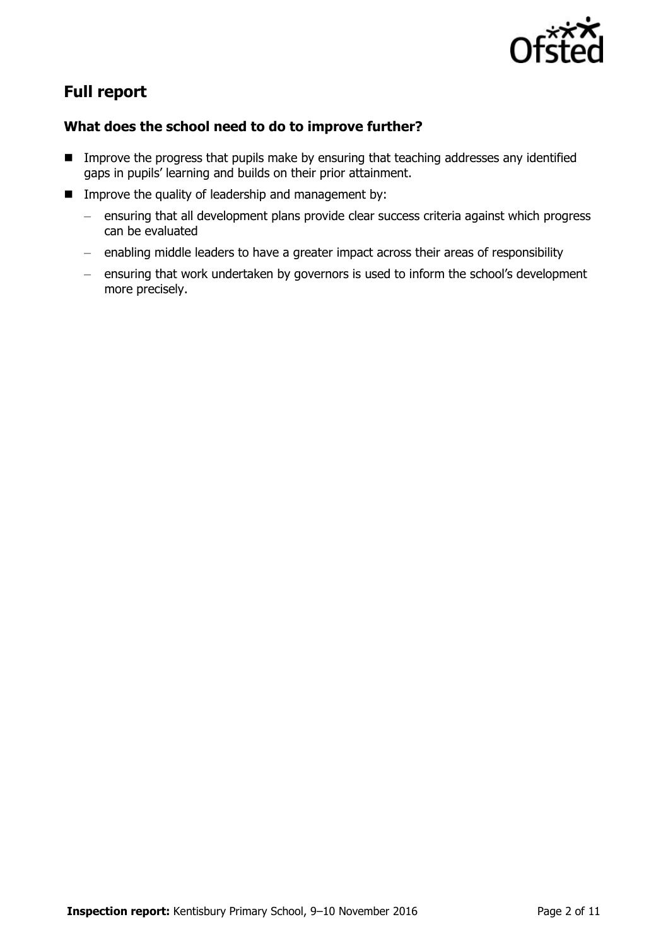

# **Full report**

### **What does the school need to do to improve further?**

- **IMPROVE the progress that pupils make by ensuring that teaching addresses any identified** gaps in pupils' learning and builds on their prior attainment.
- **IMP** Improve the quality of leadership and management by:
	- ensuring that all development plans provide clear success criteria against which progress can be evaluated
	- enabling middle leaders to have a greater impact across their areas of responsibility
	- ensuring that work undertaken by governors is used to inform the school's development more precisely.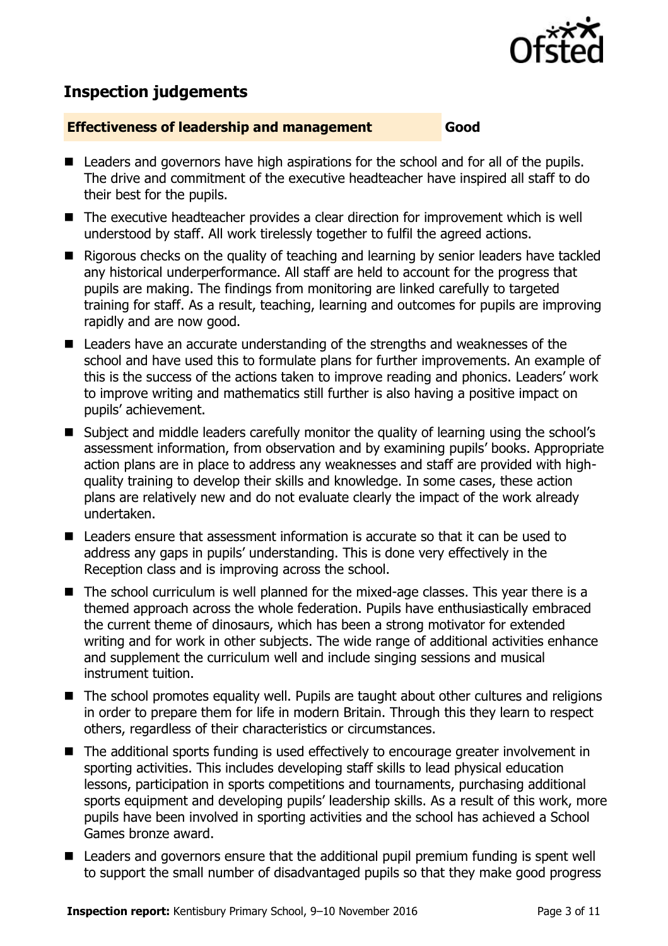

## **Inspection judgements**

#### **Effectiveness of leadership and management Good**

- Leaders and governors have high aspirations for the school and for all of the pupils. The drive and commitment of the executive headteacher have inspired all staff to do their best for the pupils.
- The executive headteacher provides a clear direction for improvement which is well understood by staff. All work tirelessly together to fulfil the agreed actions.
- Rigorous checks on the quality of teaching and learning by senior leaders have tackled any historical underperformance. All staff are held to account for the progress that pupils are making. The findings from monitoring are linked carefully to targeted training for staff. As a result, teaching, learning and outcomes for pupils are improving rapidly and are now good.
- Leaders have an accurate understanding of the strengths and weaknesses of the school and have used this to formulate plans for further improvements. An example of this is the success of the actions taken to improve reading and phonics. Leaders' work to improve writing and mathematics still further is also having a positive impact on pupils' achievement.
- Subject and middle leaders carefully monitor the quality of learning using the school's assessment information, from observation and by examining pupils' books. Appropriate action plans are in place to address any weaknesses and staff are provided with highquality training to develop their skills and knowledge. In some cases, these action plans are relatively new and do not evaluate clearly the impact of the work already undertaken.
- Leaders ensure that assessment information is accurate so that it can be used to address any gaps in pupils' understanding. This is done very effectively in the Reception class and is improving across the school.
- The school curriculum is well planned for the mixed-age classes. This year there is a themed approach across the whole federation. Pupils have enthusiastically embraced the current theme of dinosaurs, which has been a strong motivator for extended writing and for work in other subjects. The wide range of additional activities enhance and supplement the curriculum well and include singing sessions and musical instrument tuition.
- The school promotes equality well. Pupils are taught about other cultures and religions in order to prepare them for life in modern Britain. Through this they learn to respect others, regardless of their characteristics or circumstances.
- The additional sports funding is used effectively to encourage greater involvement in sporting activities. This includes developing staff skills to lead physical education lessons, participation in sports competitions and tournaments, purchasing additional sports equipment and developing pupils' leadership skills. As a result of this work, more pupils have been involved in sporting activities and the school has achieved a School Games bronze award.
- Leaders and governors ensure that the additional pupil premium funding is spent well to support the small number of disadvantaged pupils so that they make good progress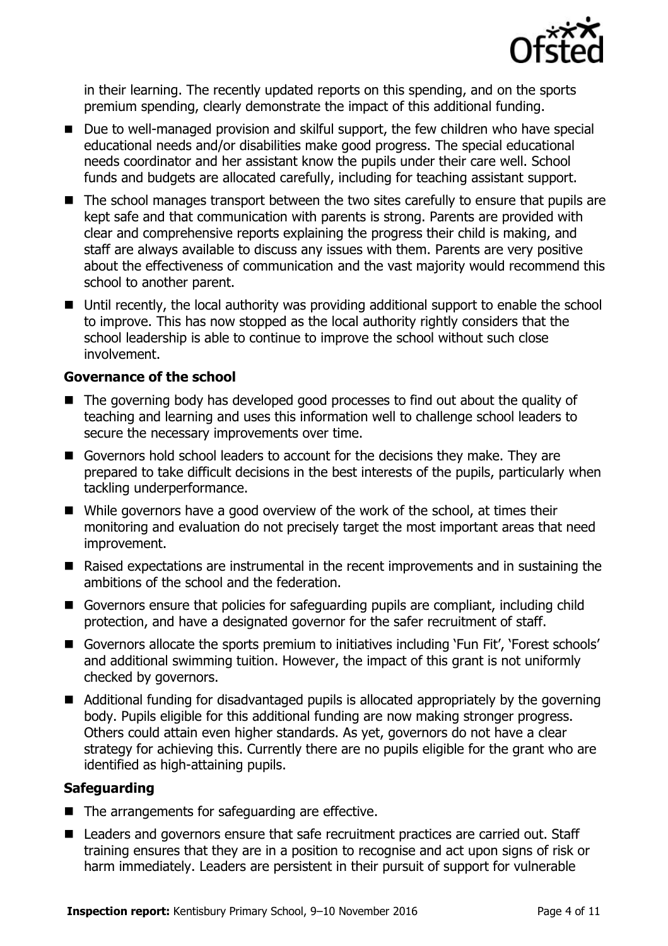

in their learning. The recently updated reports on this spending, and on the sports premium spending, clearly demonstrate the impact of this additional funding.

- Due to well-managed provision and skilful support, the few children who have special educational needs and/or disabilities make good progress. The special educational needs coordinator and her assistant know the pupils under their care well. School funds and budgets are allocated carefully, including for teaching assistant support.
- The school manages transport between the two sites carefully to ensure that pupils are kept safe and that communication with parents is strong. Parents are provided with clear and comprehensive reports explaining the progress their child is making, and staff are always available to discuss any issues with them. Parents are very positive about the effectiveness of communication and the vast majority would recommend this school to another parent.
- Until recently, the local authority was providing additional support to enable the school to improve. This has now stopped as the local authority rightly considers that the school leadership is able to continue to improve the school without such close involvement.

#### **Governance of the school**

- The governing body has developed good processes to find out about the quality of teaching and learning and uses this information well to challenge school leaders to secure the necessary improvements over time.
- Governors hold school leaders to account for the decisions they make. They are prepared to take difficult decisions in the best interests of the pupils, particularly when tackling underperformance.
- While governors have a good overview of the work of the school, at times their monitoring and evaluation do not precisely target the most important areas that need improvement.
- Raised expectations are instrumental in the recent improvements and in sustaining the ambitions of the school and the federation.
- Governors ensure that policies for safeguarding pupils are compliant, including child protection, and have a designated governor for the safer recruitment of staff.
- Governors allocate the sports premium to initiatives including 'Fun Fit', 'Forest schools' and additional swimming tuition. However, the impact of this grant is not uniformly checked by governors.
- Additional funding for disadvantaged pupils is allocated appropriately by the governing body. Pupils eligible for this additional funding are now making stronger progress. Others could attain even higher standards. As yet, governors do not have a clear strategy for achieving this. Currently there are no pupils eligible for the grant who are identified as high-attaining pupils.

#### **Safeguarding**

- $\blacksquare$  The arrangements for safeguarding are effective.
- Leaders and governors ensure that safe recruitment practices are carried out. Staff training ensures that they are in a position to recognise and act upon signs of risk or harm immediately. Leaders are persistent in their pursuit of support for vulnerable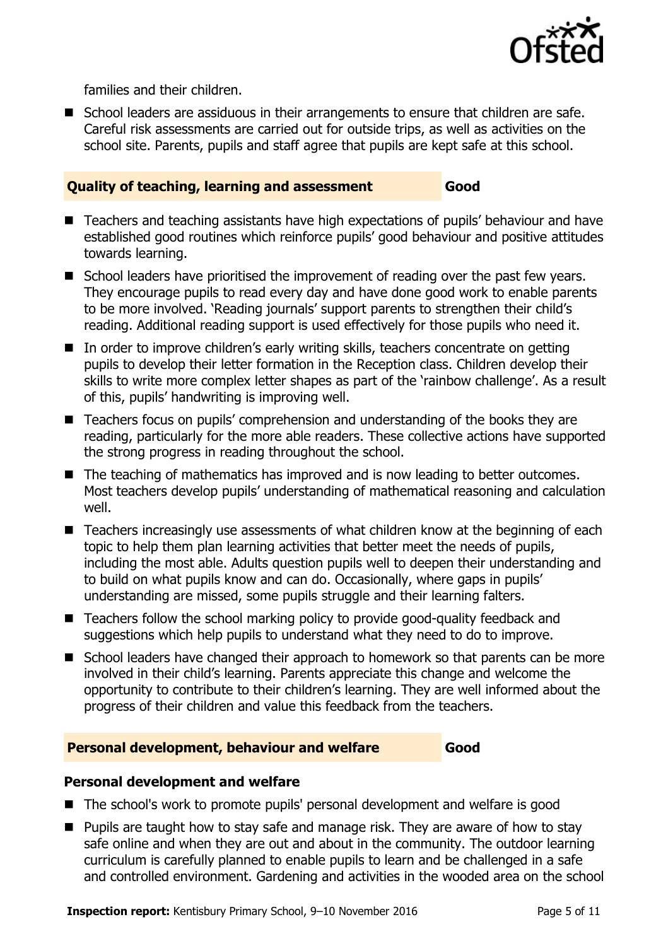

families and their children.

 School leaders are assiduous in their arrangements to ensure that children are safe. Careful risk assessments are carried out for outside trips, as well as activities on the school site. Parents, pupils and staff agree that pupils are kept safe at this school.

#### **Quality of teaching, learning and assessment Good**

- Teachers and teaching assistants have high expectations of pupils' behaviour and have established good routines which reinforce pupils' good behaviour and positive attitudes towards learning.
- School leaders have prioritised the improvement of reading over the past few years. They encourage pupils to read every day and have done good work to enable parents to be more involved. 'Reading journals' support parents to strengthen their child's reading. Additional reading support is used effectively for those pupils who need it.
- In order to improve children's early writing skills, teachers concentrate on getting pupils to develop their letter formation in the Reception class. Children develop their skills to write more complex letter shapes as part of the 'rainbow challenge'. As a result of this, pupils' handwriting is improving well.
- Teachers focus on pupils' comprehension and understanding of the books they are reading, particularly for the more able readers. These collective actions have supported the strong progress in reading throughout the school.
- The teaching of mathematics has improved and is now leading to better outcomes. Most teachers develop pupils' understanding of mathematical reasoning and calculation well.
- Teachers increasingly use assessments of what children know at the beginning of each topic to help them plan learning activities that better meet the needs of pupils, including the most able. Adults question pupils well to deepen their understanding and to build on what pupils know and can do. Occasionally, where gaps in pupils' understanding are missed, some pupils struggle and their learning falters.
- Teachers follow the school marking policy to provide good-quality feedback and suggestions which help pupils to understand what they need to do to improve.
- School leaders have changed their approach to homework so that parents can be more involved in their child's learning. Parents appreciate this change and welcome the opportunity to contribute to their children's learning. They are well informed about the progress of their children and value this feedback from the teachers.

#### **Personal development, behaviour and welfare Good**

### **Personal development and welfare**

- The school's work to promote pupils' personal development and welfare is good
- **Pupils are taught how to stay safe and manage risk. They are aware of how to stay** safe online and when they are out and about in the community. The outdoor learning curriculum is carefully planned to enable pupils to learn and be challenged in a safe and controlled environment. Gardening and activities in the wooded area on the school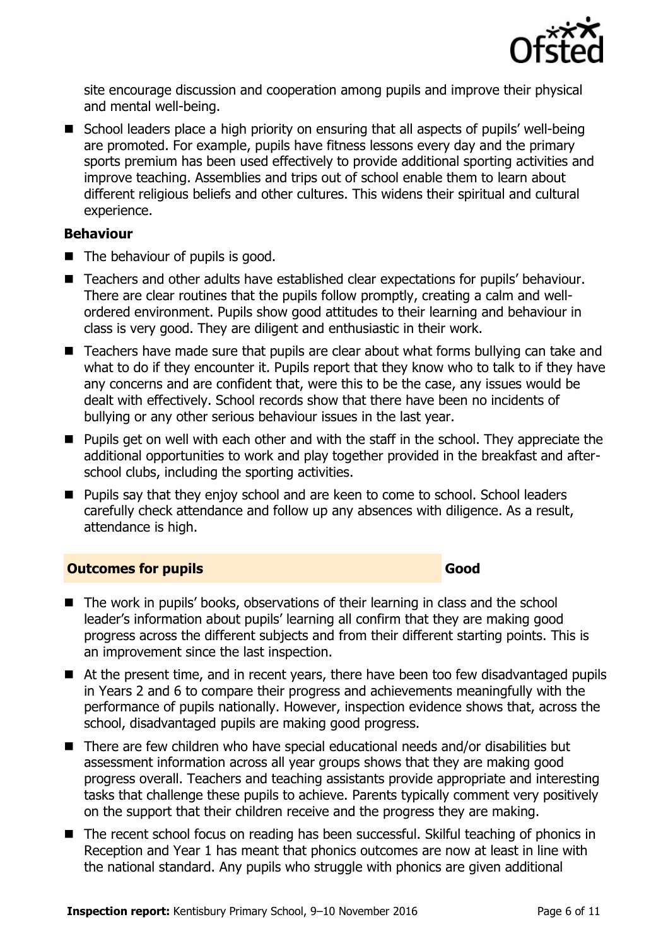

site encourage discussion and cooperation among pupils and improve their physical and mental well-being.

■ School leaders place a high priority on ensuring that all aspects of pupils' well-being are promoted. For example, pupils have fitness lessons every day and the primary sports premium has been used effectively to provide additional sporting activities and improve teaching. Assemblies and trips out of school enable them to learn about different religious beliefs and other cultures. This widens their spiritual and cultural experience.

#### **Behaviour**

- $\blacksquare$  The behaviour of pupils is good.
- Teachers and other adults have established clear expectations for pupils' behaviour. There are clear routines that the pupils follow promptly, creating a calm and wellordered environment. Pupils show good attitudes to their learning and behaviour in class is very good. They are diligent and enthusiastic in their work.
- Teachers have made sure that pupils are clear about what forms bullying can take and what to do if they encounter it. Pupils report that they know who to talk to if they have any concerns and are confident that, were this to be the case, any issues would be dealt with effectively. School records show that there have been no incidents of bullying or any other serious behaviour issues in the last year.
- **Pupils get on well with each other and with the staff in the school. They appreciate the** additional opportunities to work and play together provided in the breakfast and afterschool clubs, including the sporting activities.
- **Pupils say that they enjoy school and are keen to come to school. School leaders** carefully check attendance and follow up any absences with diligence. As a result, attendance is high.

### **Outcomes for pupils Good Good**

- The work in pupils' books, observations of their learning in class and the school leader's information about pupils' learning all confirm that they are making good progress across the different subjects and from their different starting points. This is an improvement since the last inspection.
- At the present time, and in recent years, there have been too few disadvantaged pupils in Years 2 and 6 to compare their progress and achievements meaningfully with the performance of pupils nationally. However, inspection evidence shows that, across the school, disadvantaged pupils are making good progress.
- There are few children who have special educational needs and/or disabilities but assessment information across all year groups shows that they are making good progress overall. Teachers and teaching assistants provide appropriate and interesting tasks that challenge these pupils to achieve. Parents typically comment very positively on the support that their children receive and the progress they are making.
- The recent school focus on reading has been successful. Skilful teaching of phonics in Reception and Year 1 has meant that phonics outcomes are now at least in line with the national standard. Any pupils who struggle with phonics are given additional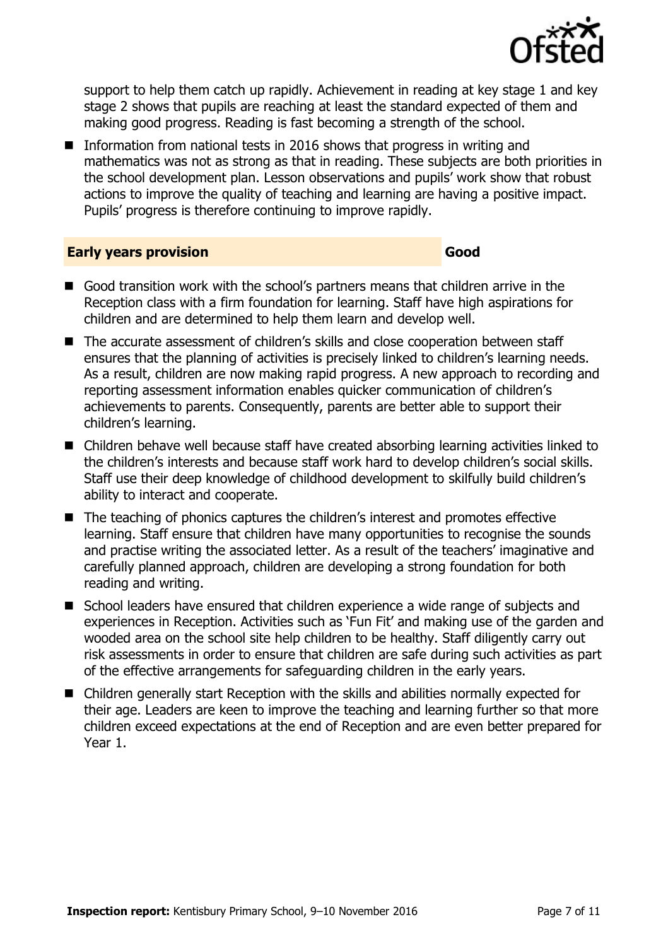

support to help them catch up rapidly. Achievement in reading at key stage 1 and key stage 2 shows that pupils are reaching at least the standard expected of them and making good progress. Reading is fast becoming a strength of the school.

Information from national tests in 2016 shows that progress in writing and mathematics was not as strong as that in reading. These subjects are both priorities in the school development plan. Lesson observations and pupils' work show that robust actions to improve the quality of teaching and learning are having a positive impact. Pupils' progress is therefore continuing to improve rapidly.

#### **Early years provision Good Good**

- Good transition work with the school's partners means that children arrive in the Reception class with a firm foundation for learning. Staff have high aspirations for children and are determined to help them learn and develop well.
- The accurate assessment of children's skills and close cooperation between staff ensures that the planning of activities is precisely linked to children's learning needs. As a result, children are now making rapid progress. A new approach to recording and reporting assessment information enables quicker communication of children's achievements to parents. Consequently, parents are better able to support their children's learning.
- Children behave well because staff have created absorbing learning activities linked to the children's interests and because staff work hard to develop children's social skills. Staff use their deep knowledge of childhood development to skilfully build children's ability to interact and cooperate.
- The teaching of phonics captures the children's interest and promotes effective learning. Staff ensure that children have many opportunities to recognise the sounds and practise writing the associated letter. As a result of the teachers' imaginative and carefully planned approach, children are developing a strong foundation for both reading and writing.
- School leaders have ensured that children experience a wide range of subjects and experiences in Reception. Activities such as 'Fun Fit' and making use of the garden and wooded area on the school site help children to be healthy. Staff diligently carry out risk assessments in order to ensure that children are safe during such activities as part of the effective arrangements for safeguarding children in the early years.
- Children generally start Reception with the skills and abilities normally expected for their age. Leaders are keen to improve the teaching and learning further so that more children exceed expectations at the end of Reception and are even better prepared for Year 1.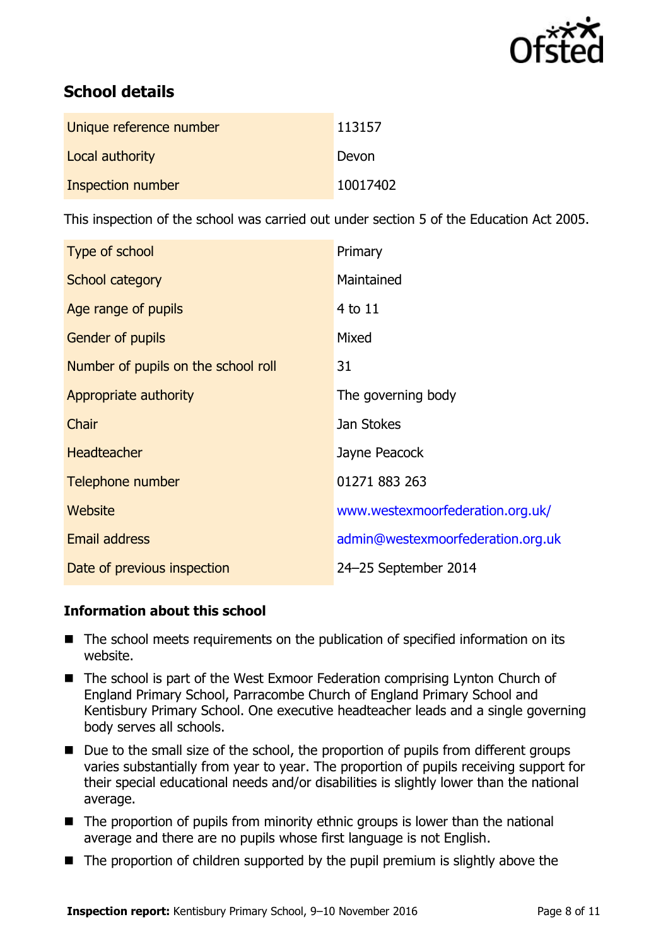

# **School details**

| Unique reference number | 113157   |
|-------------------------|----------|
| Local authority         | Devon    |
| Inspection number       | 10017402 |

This inspection of the school was carried out under section 5 of the Education Act 2005.

| Type of school                      | Primary                           |
|-------------------------------------|-----------------------------------|
| School category                     | Maintained                        |
| Age range of pupils                 | 4 to 11                           |
| <b>Gender of pupils</b>             | Mixed                             |
| Number of pupils on the school roll | 31                                |
| Appropriate authority               | The governing body                |
| Chair                               | Jan Stokes                        |
| <b>Headteacher</b>                  | Jayne Peacock                     |
| Telephone number                    | 01271 883 263                     |
| Website                             | www.westexmoorfederation.org.uk/  |
| <b>Email address</b>                | admin@westexmoorfederation.org.uk |
| Date of previous inspection         | 24-25 September 2014              |

### **Information about this school**

- The school meets requirements on the publication of specified information on its website.
- The school is part of the West Exmoor Federation comprising Lynton Church of England Primary School, Parracombe Church of England Primary School and Kentisbury Primary School. One executive headteacher leads and a single governing body serves all schools.
- Due to the small size of the school, the proportion of pupils from different groups varies substantially from year to year. The proportion of pupils receiving support for their special educational needs and/or disabilities is slightly lower than the national average.
- $\blacksquare$  The proportion of pupils from minority ethnic groups is lower than the national average and there are no pupils whose first language is not English.
- $\blacksquare$  The proportion of children supported by the pupil premium is slightly above the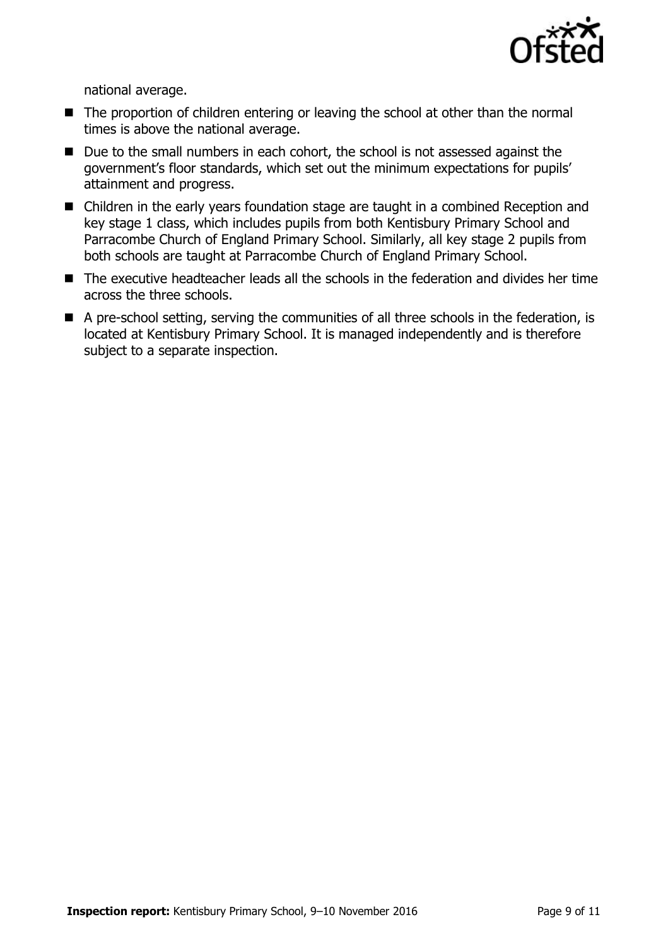

national average.

- The proportion of children entering or leaving the school at other than the normal times is above the national average.
- Due to the small numbers in each cohort, the school is not assessed against the government's floor standards, which set out the minimum expectations for pupils' attainment and progress.
- Children in the early years foundation stage are taught in a combined Reception and key stage 1 class, which includes pupils from both Kentisbury Primary School and Parracombe Church of England Primary School. Similarly, all key stage 2 pupils from both schools are taught at Parracombe Church of England Primary School.
- The executive headteacher leads all the schools in the federation and divides her time across the three schools.
- A pre-school setting, serving the communities of all three schools in the federation, is located at Kentisbury Primary School. It is managed independently and is therefore subject to a separate inspection.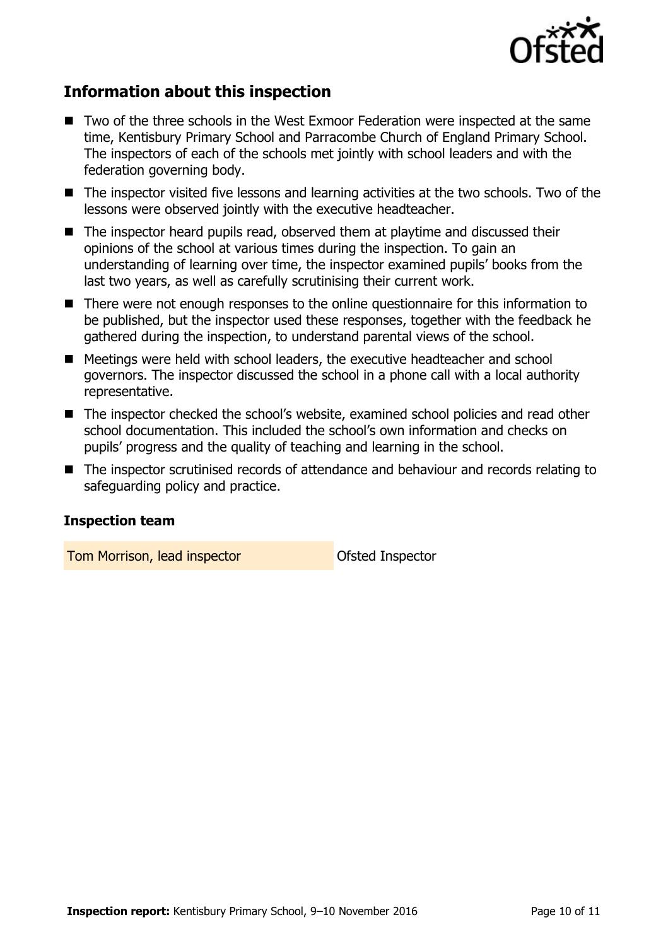

# **Information about this inspection**

- Two of the three schools in the West Exmoor Federation were inspected at the same time, Kentisbury Primary School and Parracombe Church of England Primary School. The inspectors of each of the schools met jointly with school leaders and with the federation governing body.
- The inspector visited five lessons and learning activities at the two schools. Two of the lessons were observed jointly with the executive headteacher.
- The inspector heard pupils read, observed them at playtime and discussed their opinions of the school at various times during the inspection. To gain an understanding of learning over time, the inspector examined pupils' books from the last two years, as well as carefully scrutinising their current work.
- There were not enough responses to the online questionnaire for this information to be published, but the inspector used these responses, together with the feedback he gathered during the inspection, to understand parental views of the school.
- Meetings were held with school leaders, the executive headteacher and school governors. The inspector discussed the school in a phone call with a local authority representative.
- The inspector checked the school's website, examined school policies and read other school documentation. This included the school's own information and checks on pupils' progress and the quality of teaching and learning in the school.
- The inspector scrutinised records of attendance and behaviour and records relating to safeguarding policy and practice.

#### **Inspection team**

Tom Morrison, lead inspector **No. 1988** Ofsted Inspector